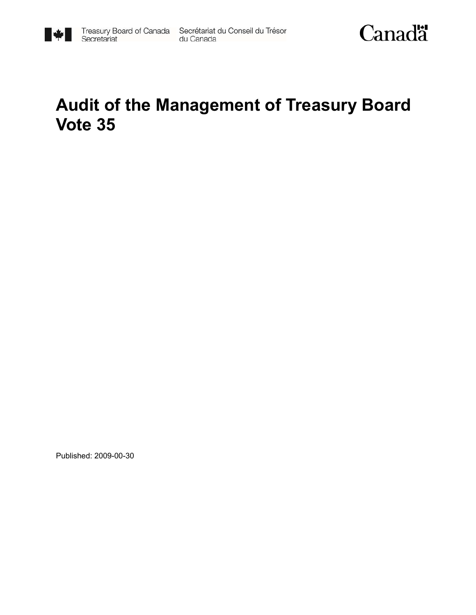



# **Audit of the Management of Treasury Board Vote 35**

Published: 2009-00-30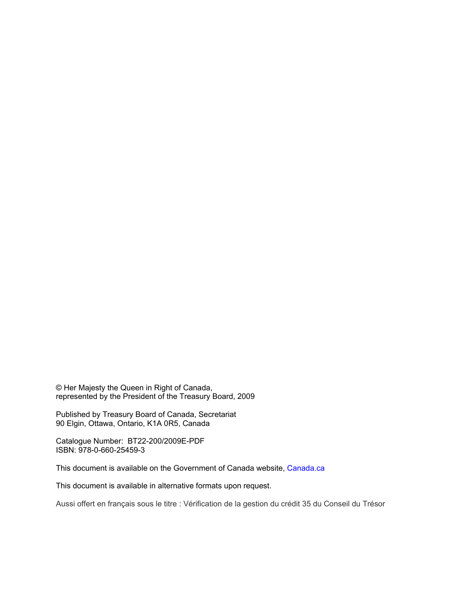© Her Majesty the Queen in Right of Canada, represented by the President of the Treasury Board, 2009

Published by Treasury Board of Canada, Secretariat 90 Elgin, Ottawa, Ontario, K1A 0R5, Canada

Catalogue Number: BT22-200/2009E-PDF ISBN: 978-0-660-25459-3

This document is available on the Government of Canada website, Canada.ca

This document is available in alternative formats upon request.

Aussi offert en français sous le titre : Vérification de la gestion du crédit 35 du Conseil du Trésor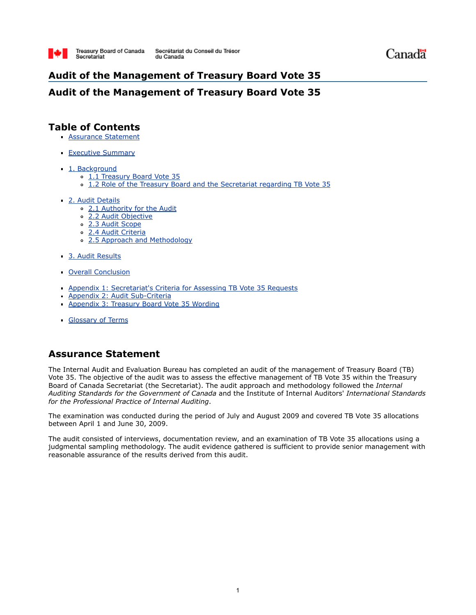

# **Audit of the Management of Treasury Board Vote 35**

### **Audit of the Management of Treasury Board Vote 35**

### **Table of Contents**

- **Assurance Statement**
- **Executive Summary**
- 1. Background
	- 1.1 Treasury Board Vote 35
	- 1.2 Role of the Treasury Board and the Secretariat regarding TB Vote 35
- 2. Audit Details
	- 2.1 Authority for the Audit
	- 2.2 Audit Objective
	- 2.3 Audit Scope
	- 2.4 Audit Criteria
	- 2.5 Approach and Methodology
- 3. Audit Results
- Overall Conclusion
- Appendix 1: Secretariat's Criteria for Assessing TB Vote 35 Requests
- Appendix 2: Audit Sub-Criteria
- Appendix 3: Treasury Board Vote 35 Wording
- Glossary of Terms

# **Assurance Statement**

The Internal Audit and Evaluation Bureau has completed an audit of the management of Treasury Board (TB) Vote 35. The objective of the audit was to assess the effective management of TB Vote 35 within the Treasury Board of Canada Secretariat (the Secretariat). The audit approach and methodology followed the *Internal Auditing Standards for the Government of Canada* and the Institute of Internal Auditors' *International Standards for the Professional Practice of Internal Auditing*.

The examination was conducted during the period of July and August 2009 and covered TB Vote 35 allocations between April 1 and June 30, 2009.

The audit consisted of interviews, documentation review, and an examination of TB Vote 35 allocations using a judgmental sampling methodology. The audit evidence gathered is sufficient to provide senior management with reasonable assurance of the results derived from this audit.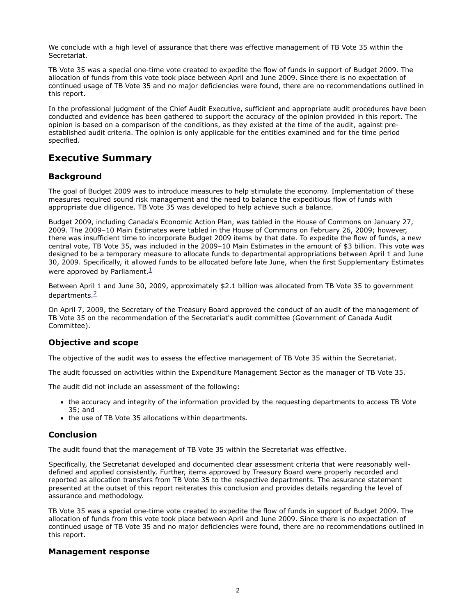We conclude with a high level of assurance that there was effective management of TB Vote 35 within the Secretariat.

TB Vote 35 was a special one-time vote created to expedite the flow of funds in support of Budget 2009. The allocation of funds from this vote took place between April and June 2009. Since there is no expectation of continued usage of TB Vote 35 and no major deficiencies were found, there are no recommendations outlined in this report.

In the professional judgment of the Chief Audit Executive, sufficient and appropriate audit procedures have been conducted and evidence has been gathered to support the accuracy of the opinion provided in this report. The opinion is based on a comparison of the conditions, as they existed at the time of the audit, against preestablished audit criteria. The opinion is only applicable for the entities examined and for the time period specified.

### **Executive Summary**

### **Background**

The goal of Budget 2009 was to introduce measures to help stimulate the economy. Implementation of these measures required sound risk management and the need to balance the expeditious flow of funds with appropriate due diligence. TB Vote 35 was developed to help achieve such a balance.

Budget 2009, including Canada's Economic Action Plan, was tabled in the House of Commons on January 27, 2009. The 2009–10 Main Estimates were tabled in the House of Commons on February 26, 2009; however, there was insufficient time to incorporate Budget 2009 items by that date. To expedite the flow of funds, a new central vote, TB Vote 35, was included in the 2009–10 Main Estimates in the amount of \$3 billion. This vote was designed to be a temporary measure to allocate funds to departmental appropriations between April 1 and June 30, 2009. Specifically, it allowed funds to be allocated before late June, when the first Supplementary Estimates were approved by Parliament. $\frac{1}{2}$  $\frac{1}{2}$  $\frac{1}{2}$ 

Between April 1 and June 30, 2009, approximately \$2.1 billion was allocated from TB Vote 35 to government departments. $\frac{2}{3}$  $\frac{2}{3}$  $\frac{2}{3}$ 

On April 7, 2009, the Secretary of the Treasury Board approved the conduct of an audit of the management of TB Vote 35 on the recommendation of the Secretariat's audit committee (Government of Canada Audit Committee).

### **Objective and scope**

The objective of the audit was to assess the effective management of TB Vote 35 within the Secretariat.

The audit focussed on activities within the Expenditure Management Sector as the manager of TB Vote 35.

The audit did not include an assessment of the following:

- the accuracy and integrity of the information provided by the requesting departments to access TB Vote 35; and
- the use of TB Vote 35 allocations within departments.

### **Conclusion**

The audit found that the management of TB Vote 35 within the Secretariat was effective.

Specifically, the Secretariat developed and documented clear assessment criteria that were reasonably welldefined and applied consistently. Further, items approved by Treasury Board were properly recorded and reported as allocation transfers from TB Vote 35 to the respective departments. The assurance statement presented at the outset of this report reiterates this conclusion and provides details regarding the level of assurance and methodology.

TB Vote 35 was a special one-time vote created to expedite the flow of funds in support of Budget 2009. The allocation of funds from this vote took place between April and June 2009. Since there is no expectation of continued usage of TB Vote 35 and no major deficiencies were found, there are no recommendations outlined in this report.

### **Management response**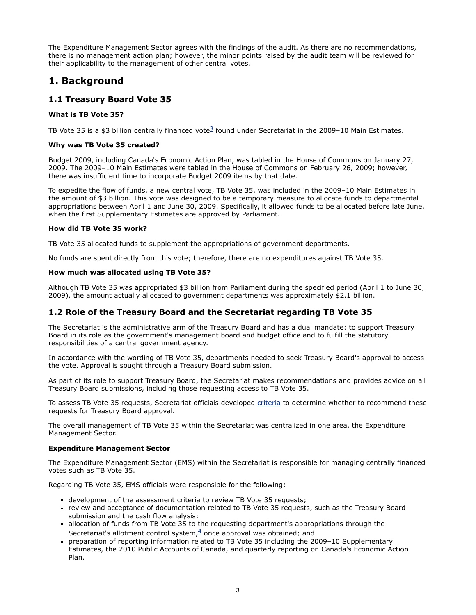The Expenditure Management Sector agrees with the findings of the audit. As there are no recommendations, there is no management action plan; however, the minor points raised by the audit team will be reviewed for their applicability to the management of other central votes.

# **1. Background**

### **1.1 Treasury Board Vote 35**

### **What is TB Vote 35?**

TB Vote [3](http://www.tbs-sct.gc.ca/report/orp/2009/v35-c3503-eng.asp#note3)5 is a \$3 billion centrally financed vote<sup>3</sup> found under Secretariat in the 2009–10 Main Estimates.

### **Why was TB Vote 35 created?**

Budget 2009, including Canada's Economic Action Plan, was tabled in the House of Commons on January 27, 2009. The 2009–10 Main Estimates were tabled in the House of Commons on February 26, 2009; however, there was insufficient time to incorporate Budget 2009 items by that date.

To expedite the flow of funds, a new central vote, TB Vote 35, was included in the 2009–10 Main Estimates in the amount of \$3 billion. This vote was designed to be a temporary measure to allocate funds to departmental appropriations between April 1 and June 30, 2009. Specifically, it allowed funds to be allocated before late June, when the first Supplementary Estimates are approved by Parliament.

#### **How did TB Vote 35 work?**

TB Vote 35 allocated funds to supplement the appropriations of government departments.

No funds are spent directly from this vote; therefore, there are no expenditures against TB Vote 35.

#### **How much was allocated using TB Vote 35?**

Although TB Vote 35 was appropriated \$3 billion from Parliament during the specified period (April 1 to June 30, 2009), the amount actually allocated to government departments was approximately \$2.1 billion.

### **1.2 Role of the Treasury Board and the Secretariat regarding TB Vote 35**

The Secretariat is the administrative arm of the Treasury Board and has a dual mandate: to support Treasury Board in its role as the government's management board and budget office and to fulfill the statutory responsibilities of a central government agency.

In accordance with the wording of TB Vote 35, departments needed to seek Treasury Board's approval to access the vote. Approval is sought through a Treasury Board submission.

As part of its role to support Treasury Board, the Secretariat makes recommendations and provides advice on all Treasury Board submissions, including those requesting access to TB Vote 35.

To assess TB Vote 35 requests, Secretariat officials developed [criteria](http://www.tbs-sct.gc.ca/report/orp/2009/v35-c3503-eng.asp#app1) to determine whether to recommend these requests for Treasury Board approval.

The overall management of TB Vote 35 within the Secretariat was centralized in one area, the Expenditure Management Sector.

#### **Expenditure Management Sector**

The Expenditure Management Sector (EMS) within the Secretariat is responsible for managing centrally financed votes such as TB Vote 35.

Regarding TB Vote 35, EMS officials were responsible for the following:

- development of the assessment criteria to review TB Vote 35 requests;
- review and acceptance of documentation related to TB Vote 35 requests, such as the Treasury Board submission and the cash flow analysis;
- allocation of funds from TB Vote 35 to the requesting department's appropriations through the Secretariat's allotment control system, $\frac{4}{3}$  $\frac{4}{3}$  $\frac{4}{3}$  once approval was obtained; and
- preparation of reporting information related to TB Vote 35 including the 2009–10 Supplementary Estimates, the 2010 Public Accounts of Canada, and quarterly reporting on Canada's Economic Action Plan.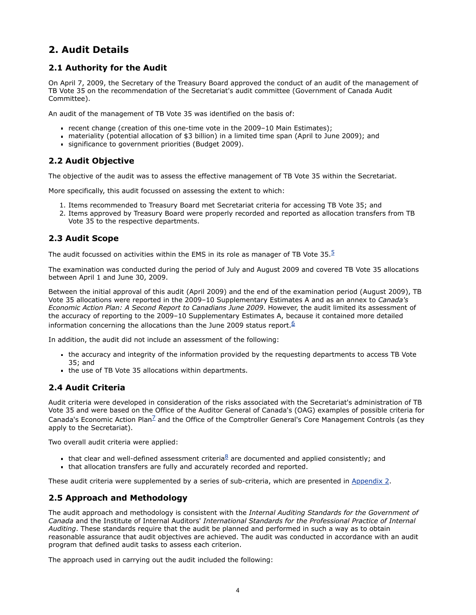# **2. Audit Details**

### **2.1 Authority for the Audit**

On April 7, 2009, the Secretary of the Treasury Board approved the conduct of an audit of the management of TB Vote 35 on the recommendation of the Secretariat's audit committee (Government of Canada Audit Committee).

An audit of the management of TB Vote 35 was identified on the basis of:

- recent change (creation of this one-time vote in the 2009–10 Main Estimates);
- materiality (potential allocation of \$3 billion) in a limited time span (April to June 2009); and
- significance to government priorities (Budget 2009).

### **2.2 Audit Objective**

The objective of the audit was to assess the effective management of TB Vote 35 within the Secretariat.

More specifically, this audit focussed on assessing the extent to which:

- 1. Items recommended to Treasury Board met Secretariat criteria for accessing TB Vote 35; and
- 2. Items approved by Treasury Board were properly recorded and reported as allocation transfers from TB Vote 35 to the respective departments.

### **2.3 Audit Scope**

The audit focussed on activities within the EMS in its role as manager of TB Vote  $35.5$  $35.5$  $35.5$ 

The examination was conducted during the period of July and August 2009 and covered TB Vote 35 allocations between April 1 and June 30, 2009.

Between the initial approval of this audit (April 2009) and the end of the examination period (August 2009), TB Vote 35 allocations were reported in the 2009–10 Supplementary Estimates A and as an annex to *Canada's Economic Action Plan: A Second Report to Canadians June 2009*. However, the audit limited its assessment of the accuracy of reporting to the 2009–10 Supplementary Estimates A, because it contained more detailed information concerning the allocations than the June 2009 status report. $6$ 

In addition, the audit did not include an assessment of the following:

- the accuracy and integrity of the information provided by the requesting departments to access TB Vote 35; and
- the use of TB Vote 35 allocations within departments.

### **2.4 Audit Criteria**

Audit criteria were developed in consideration of the risks associated with the Secretariat's administration of TB Vote 35 and were based on the Office of the Auditor General of Canada's (OAG) examples of possible criteria for Canada's Economic Action Plan<sup> $Z$ </sup> and the Office of the Comptroller General's Core Management Controls (as they apply to the Secretariat).

Two overall audit criteria were applied:

- that clear and well-defined assessment criteria ${}^{8}$  ${}^{8}$  ${}^{8}$  are documented and applied consistently; and
- that allocation transfers are fully and accurately recorded and reported.

These audit criteria were supplemented by a series of sub-criteria, which are presented in [Appendix 2.](http://www.tbs-sct.gc.ca/report/orp/2009/v35-c3503-eng.asp#app2)

### **2.5 Approach and Methodology**

The audit approach and methodology is consistent with the *Internal Auditing Standards for the Government of Canada* and the Institute of Internal Auditors' *International Standards for the Professional Practice of Internal Auditing*. These standards require that the audit be planned and performed in such a way as to obtain reasonable assurance that audit objectives are achieved. The audit was conducted in accordance with an audit program that defined audit tasks to assess each criterion.

The approach used in carrying out the audit included the following: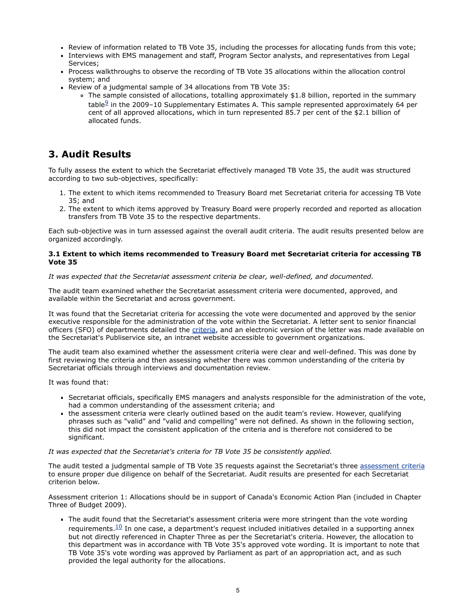- Review of information related to TB Vote 35, including the processes for allocating funds from this vote;
- Interviews with EMS management and staff, Program Sector analysts, and representatives from Legal Services;
- Process walkthroughs to observe the recording of TB Vote 35 allocations within the allocation control system; and
- Review of a judgmental sample of 34 allocations from TB Vote 35:
	- The sample consisted of allocations, totalling approximately \$1.8 billion, reported in the summary table $9$  in the 2009–10 Supplementary Estimates A. This sample represented approximately 64 per cent of all approved allocations, which in turn represented 85.7 per cent of the \$2.1 billion of allocated funds.

# **3. Audit Results**

To fully assess the extent to which the Secretariat effectively managed TB Vote 35, the audit was structured according to two sub-objectives, specifically:

- 1. The extent to which items recommended to Treasury Board met Secretariat criteria for accessing TB Vote 35; and
- 2. The extent to which items approved by Treasury Board were properly recorded and reported as allocation transfers from TB Vote 35 to the respective departments.

Each sub-objective was in turn assessed against the overall audit criteria. The audit results presented below are organized accordingly.

#### **3.1 Extent to which items recommended to Treasury Board met Secretariat criteria for accessing TB Vote 35**

#### *It was expected that the Secretariat assessment criteria be clear, well-defined, and documented.*

The audit team examined whether the Secretariat assessment criteria were documented, approved, and available within the Secretariat and across government.

It was found that the Secretariat criteria for accessing the vote were documented and approved by the senior executive responsible for the administration of the vote within the Secretariat. A letter sent to senior financial officers (SFO) of departments detailed the [criteria](http://www.tbs-sct.gc.ca/report/orp/2009/v35-c3503-eng.asp#app1), and an electronic version of the letter was made available on the Secretariat's Publiservice site, an intranet website accessible to government organizations.

The audit team also examined whether the assessment criteria were clear and well-defined. This was done by first reviewing the criteria and then assessing whether there was common understanding of the criteria by Secretariat officials through interviews and documentation review.

It was found that:

- Secretariat officials, specifically EMS managers and analysts responsible for the administration of the vote, had a common understanding of the assessment criteria; and
- the assessment criteria were clearly outlined based on the audit team's review. However, qualifying phrases such as "valid" and "valid and compelling" were not defined. As shown in the following section, this did not impact the consistent application of the criteria and is therefore not considered to be significant.

#### *It was expected that the Secretariat's criteria for TB Vote 35 be consistently applied.*

The audit tested a judgmental sample of TB Vote 35 requests against the Secretariat's three [assessment criteria](http://www.tbs-sct.gc.ca/report/orp/2009/v35-c3503-eng.asp#app1) to ensure proper due diligence on behalf of the Secretariat. Audit results are presented for each Secretariat criterion below.

Assessment criterion 1: Allocations should be in support of Canada's Economic Action Plan (included in Chapter Three of Budget 2009).

The audit found that the Secretariat's assessment criteria were more stringent than the vote wording requirements. $\frac{10}{10}$  $\frac{10}{10}$  $\frac{10}{10}$  In one case, a department's request included initiatives detailed in a supporting annex but not directly referenced in Chapter Three as per the Secretariat's criteria. However, the allocation to this department was in accordance with TB Vote 35's approved vote wording. It is important to note that TB Vote 35's vote wording was approved by Parliament as part of an appropriation act, and as such provided the legal authority for the allocations.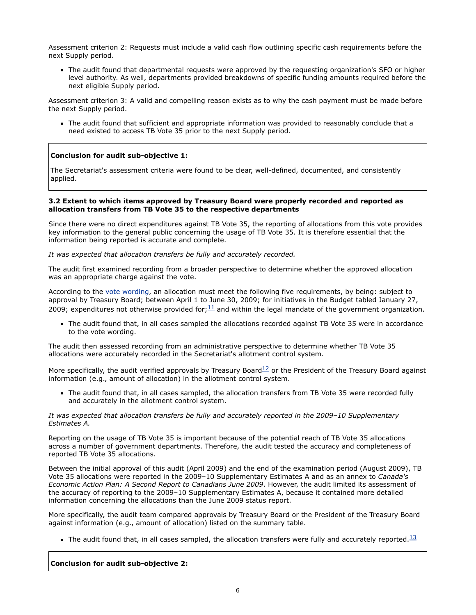Assessment criterion 2: Requests must include a valid cash flow outlining specific cash requirements before the next Supply period.

The audit found that departmental requests were approved by the requesting organization's SFO or higher level authority. As well, departments provided breakdowns of specific funding amounts required before the next eligible Supply period.

Assessment criterion 3: A valid and compelling reason exists as to why the cash payment must be made before the next Supply period.

The audit found that sufficient and appropriate information was provided to reasonably conclude that a need existed to access TB Vote 35 prior to the next Supply period.

#### **Conclusion for audit sub-objective 1:**

The Secretariat's assessment criteria were found to be clear, well-defined, documented, and consistently applied.

#### **3.2 Extent to which items approved by Treasury Board were properly recorded and reported as allocation transfers from TB Vote 35 to the respective departments**

Since there were no direct expenditures against TB Vote 35, the reporting of allocations from this vote provides key information to the general public concerning the usage of TB Vote 35. It is therefore essential that the information being reported is accurate and complete.

*It was expected that allocation transfers be fully and accurately recorded.*

The audit first examined recording from a broader perspective to determine whether the approved allocation was an appropriate charge against the vote.

According to the [vote wording,](http://www.tbs-sct.gc.ca/report/orp/2009/v35-c3503-eng.asp#app3) an allocation must meet the following five requirements, by being: subject to approval by Treasury Board; between April 1 to June 30, 2009; for initiatives in the Budget tabled January 27, 2009; expenditures not otherwise provided for: $\frac{11}{2}$  $\frac{11}{2}$  $\frac{11}{2}$  and within the legal mandate of the government organization.

The audit found that, in all cases sampled the allocations recorded against TB Vote 35 were in accordance to the vote wording.

The audit then assessed recording from an administrative perspective to determine whether TB Vote 35 allocations were accurately recorded in the Secretariat's allotment control system.

More specifically, the audit verified approvals by Treasury Board $12$  or the President of the Treasury Board against information (e.g., amount of allocation) in the allotment control system.

The audit found that, in all cases sampled, the allocation transfers from TB Vote 35 were recorded fully and accurately in the allotment control system.

*It was expected that allocation transfers be fully and accurately reported in the 2009–10 Supplementary Estimates A.*

Reporting on the usage of TB Vote 35 is important because of the potential reach of TB Vote 35 allocations across a number of government departments. Therefore, the audit tested the accuracy and completeness of reported TB Vote 35 allocations.

Between the initial approval of this audit (April 2009) and the end of the examination period (August 2009), TB Vote 35 allocations were reported in the 2009–10 Supplementary Estimates A and as an annex to *Canada's Economic Action Plan: A Second Report to Canadians June 2009*. However, the audit limited its assessment of the accuracy of reporting to the 2009–10 Supplementary Estimates A, because it contained more detailed information concerning the allocations than the June 2009 status report.

More specifically, the audit team compared approvals by Treasury Board or the President of the Treasury Board against information (e.g., amount of allocation) listed on the summary table.

The audit found that, in all cases sampled, the allocation transfers were fully and accurately reported.<sup>[13](http://www.tbs-sct.gc.ca/report/orp/2009/v35-c3503-eng.asp#note13)</sup>

**Conclusion for audit sub-objective 2:**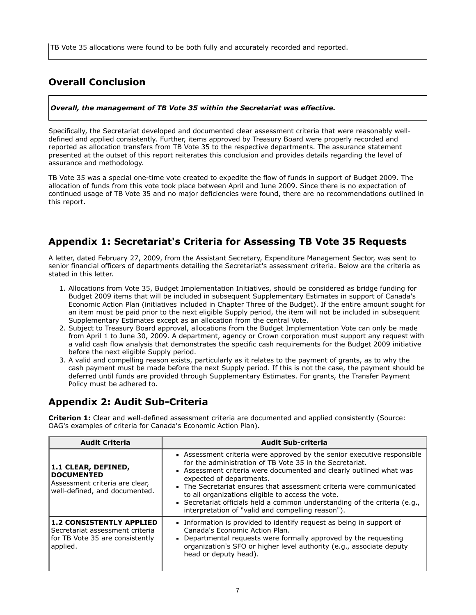TB Vote 35 allocations were found to be both fully and accurately recorded and reported.

# **Overall Conclusion**

### *Overall, the management of TB Vote 35 within the Secretariat was effective.*

Specifically, the Secretariat developed and documented clear assessment criteria that were reasonably welldefined and applied consistently. Further, items approved by Treasury Board were properly recorded and reported as allocation transfers from TB Vote 35 to the respective departments. The assurance statement presented at the outset of this report reiterates this conclusion and provides details regarding the level of assurance and methodology.

TB Vote 35 was a special one-time vote created to expedite the flow of funds in support of Budget 2009. The allocation of funds from this vote took place between April and June 2009. Since there is no expectation of continued usage of TB Vote 35 and no major deficiencies were found, there are no recommendations outlined in this report.

## <span id="page-8-0"></span>**Appendix 1: Secretariat's Criteria for Assessing TB Vote 35 Requests**

A letter, dated February 27, 2009, from the Assistant Secretary, Expenditure Management Sector, was sent to senior financial officers of departments detailing the Secretariat's assessment criteria. Below are the criteria as stated in this letter.

- 1. Allocations from Vote 35, Budget Implementation Initiatives, should be considered as bridge funding for Budget 2009 items that will be included in subsequent Supplementary Estimates in support of Canada's Economic Action Plan (initiatives included in Chapter Three of the Budget). If the entire amount sought for an item must be paid prior to the next eligible Supply period, the item will not be included in subsequent Supplementary Estimates except as an allocation from the central Vote.
- 2. Subject to Treasury Board approval, allocations from the Budget Implementation Vote can only be made from April 1 to June 30, 2009. A department, agency or Crown corporation must support any request with a valid cash flow analysis that demonstrates the specific cash requirements for the Budget 2009 initiative before the next eligible Supply period.
- 3. A valid and compelling reason exists, particularly as it relates to the payment of grants, as to why the cash payment must be made before the next Supply period. If this is not the case, the payment should be deferred until funds are provided through Supplementary Estimates. For grants, the Transfer Payment Policy must be adhered to.

# **Appendix 2: Audit Sub-Criteria**

**Criterion 1:** Clear and well-defined assessment criteria are documented and applied consistently (Source: OAG's examples of criteria for Canada's Economic Action Plan).

| <b>Audit Criteria</b>                                                                                             | <b>Audit Sub-criteria</b>                                                                                                                                                                                                                                                                                                                                                                                                                                                                      |
|-------------------------------------------------------------------------------------------------------------------|------------------------------------------------------------------------------------------------------------------------------------------------------------------------------------------------------------------------------------------------------------------------------------------------------------------------------------------------------------------------------------------------------------------------------------------------------------------------------------------------|
| 1.1 CLEAR, DEFINED,<br><b>DOCUMENTED</b><br>Assessment criteria are clear,<br>well-defined, and documented.       | Assessment criteria were approved by the senior executive responsible<br>for the administration of TB Vote 35 in the Secretariat.<br>Assessment criteria were documented and clearly outlined what was<br>expected of departments.<br>The Secretariat ensures that assessment criteria were communicated<br>to all organizations eligible to access the vote.<br>Secretariat officials held a common understanding of the criteria (e.g.,<br>interpretation of "valid and compelling reason"). |
| <b>1.2 CONSISTENTLY APPLIED</b><br>Secretariat assessment criteria<br>for TB Vote 35 are consistently<br>applied. | Information is provided to identify request as being in support of<br>Canada's Economic Action Plan.<br>• Departmental requests were formally approved by the requesting<br>organization's SFO or higher level authority (e.g., associate deputy<br>head or deputy head).                                                                                                                                                                                                                      |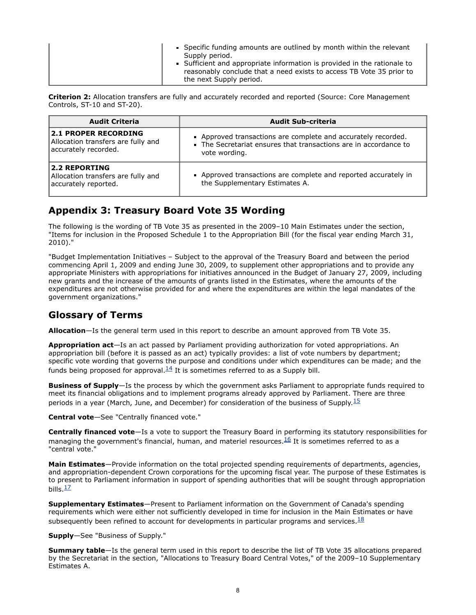**Criterion 2:** Allocation transfers are fully and accurately recorded and reported (Source: Core Management Controls, ST-10 and ST-20).

| <b>Audit Criteria</b>                                                                     | <b>Audit Sub-criteria</b>                                                                                                                        |
|-------------------------------------------------------------------------------------------|--------------------------------------------------------------------------------------------------------------------------------------------------|
| <b>2.1 PROPER RECORDING</b><br>Allocation transfers are fully and<br>accurately recorded. | - Approved transactions are complete and accurately recorded.<br>The Secretariat ensures that transactions are in accordance to<br>vote wording. |
| <b>2.2 REPORTING</b><br>Allocation transfers are fully and<br>accurately reported.        | • Approved transactions are complete and reported accurately in<br>the Supplementary Estimates A.                                                |

# **Appendix 3: Treasury Board Vote 35 Wording**

The following is the wording of TB Vote 35 as presented in the 2009–10 Main Estimates under the section, "Items for inclusion in the Proposed Schedule 1 to the Appropriation Bill (for the fiscal year ending March 31, 2010)."

"Budget Implementation Initiatives – Subject to the approval of the Treasury Board and between the period commencing April 1, 2009 and ending June 30, 2009, to supplement other appropriations and to provide any appropriate Ministers with appropriations for initiatives announced in the Budget of January 27, 2009, including new grants and the increase of the amounts of grants listed in the Estimates, where the amounts of the expenditures are not otherwise provided for and where the expenditures are within the legal mandates of the government organizations."

# **Glossary of Terms**

**Allocation**—Is the general term used in this report to describe an amount approved from TB Vote 35.

**Appropriation act**—Is an act passed by Parliament providing authorization for voted appropriations. An appropriation bill (before it is passed as an act) typically provides: a list of vote numbers by department; specific vote wording that governs the purpose and conditions under which expenditures can be made; and the funds being proposed for approval.  $\frac{14}{1}$  $\frac{14}{1}$  $\frac{14}{1}$  It is sometimes referred to as a Supply bill.

**Business of Supply**—Is the process by which the government asks Parliament to appropriate funds required to meet its financial obligations and to implement programs already approved by Parliament. There are three periods in a year (March, June, and December) for consideration of the business of Supply.<sup>[15](#page-10-1)</sup>

**Central vote**—See "Centrally financed vote."

**Centrally financed vote**—Is a vote to support the Treasury Board in performing its statutory responsibilities for managing the government's financial, human, and materiel resources. $16$  It is sometimes referred to as a "central vote."

**Main Estimates**—Provide information on the total projected spending requirements of departments, agencies, and appropriation-dependent Crown corporations for the upcoming fiscal year. The purpose of these Estimates is to present to Parliament information in support of spending authorities that will be sought through appropriation bills. $\frac{17}{2}$  $\frac{17}{2}$  $\frac{17}{2}$ 

**Supplementary Estimates**—Present to Parliament information on the Government of Canada's spending requirements which were either not sufficiently developed in time for inclusion in the Main Estimates or have subsequently been refined to account for developments in particular programs and services. $18$ 

**Supply**—See "Business of Supply."

**Summary table**—Is the general term used in this report to describe the list of TB Vote 35 allocations prepared by the Secretariat in the section, "Allocations to Treasury Board Central Votes," of the 2009–10 Supplementary Estimates A.